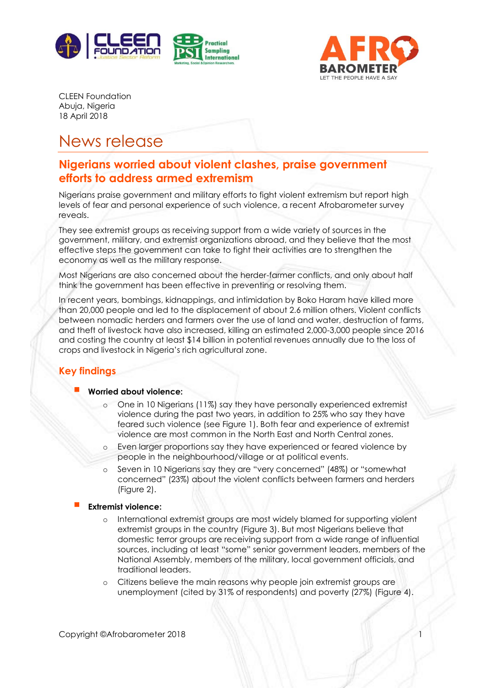



CLEEN Foundation Abuja, Nigeria 18 April 2018

# News release

# **Nigerians worried about violent clashes, praise government efforts to address armed extremism**

Nigerians praise government and military efforts to fight violent extremism but report high levels of fear and personal experience of such violence, a recent Afrobarometer survey reveals.

They see extremist groups as receiving support from a wide variety of sources in the government, military, and extremist organizations abroad, and they believe that the most effective steps the government can take to fight their activities are to strengthen the economy as well as the military response.

Most Nigerians are also concerned about the herder-farmer conflicts, and only about half think the government has been effective in preventing or resolving them.

In recent years, bombings, kidnappings, and intimidation by Boko Haram have killed more than 20,000 people and led to the displacement of about 2.6 million others. Violent conflicts between nomadic herders and farmers over the use of land and water, destruction of farms, and theft of livestock have also increased, killing an estimated 2,000-3,000 people since 2016 and costing the country at least \$14 billion in potential revenues annually due to the loss of crops and livestock in Nigeria's rich agricultural zone.

# **Key findings**

#### ▪ **Worried about violence:**

- One in 10 Nigerians (11%) say they have personally experienced extremist violence during the past two years, in addition to 25% who say they have feared such violence (see Figure 1). Both fear and experience of extremist violence are most common in the North East and North Central zones.
- Even larger proportions say they have experienced or feared violence by people in the neighbourhood/village or at political events.
- Seven in 10 Nigerians say they are "very concerned" (48%) or "somewhat concerned" (23%) about the violent conflicts between farmers and herders (Figure 2).

#### **Extremist violence:**

- International extremist groups are most widely blamed for supporting violent extremist groups in the country (Figure 3). But most Nigerians believe that domestic terror groups are receiving support from a wide range of influential sources, including at least "some" senior government leaders, members of the National Assembly, members of the military, local government officials, and traditional leaders.
- Citizens believe the main reasons why people join extremist groups are unemployment (cited by 31% of respondents) and poverty (27%) (Figure 4).

Copyright ©Afrobarometer 2018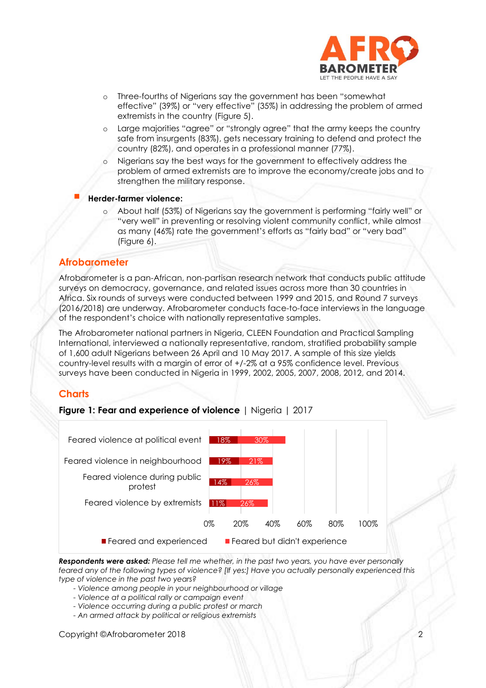

- o Three-fourths of Nigerians say the government has been "somewhat effective" (39%) or "very effective" (35%) in addressing the problem of armed extremists in the country (Figure 5).
- o Large majorities "agree" or "strongly agree" that the army keeps the country safe from insurgents (83%), gets necessary training to defend and protect the country (82%), and operates in a professional manner (77%).
- Nigerians say the best ways for the government to effectively address the problem of armed extremists are to improve the economy/create jobs and to strengthen the military response.

#### ▪ **Herder-farmer violence:**

About half (53%) of Nigerians say the government is performing "fairly well" or "very well" in preventing or resolving violent community conflict, while almost as many (46%) rate the government's efforts as "fairly bad" or "very bad" (Figure 6).

### **Afrobarometer**

Afrobarometer is a pan-African, non-partisan research network that conducts public attitude surveys on democracy, governance, and related issues across more than 30 countries in Africa. Six rounds of surveys were conducted between 1999 and 2015, and Round 7 surveys (2016/2018) are underway. Afrobarometer conducts face-to-face interviews in the language of the respondent's choice with nationally representative samples.

The Afrobarometer national partners in Nigeria, CLEEN Foundation and Practical Sampling International, interviewed a nationally representative, random, stratified probability sample of 1,600 adult Nigerians between 26 April and 10 May 2017. A sample of this size yields country-level results with a margin of error of +/-2% at a 95% confidence level. Previous surveys have been conducted in Nigeria in 1999, 2002, 2005, 2007, 2008, 2012, and 2014.

### **Charts**

**Figure 1: Fear and experience of violence** | Nigeria | 2017



*Respondents were asked: Please tell me whether, in the past two years, you have ever personally feared any of the following types of violence? [If yes:] Have you actually personally experienced this type of violence in the past two years?* 

- *- Violence among people in your neighbourhood or village*
- *- Violence at a political rally or campaign event*
- *- Violence occurring during a public protest or march*
- *- An armed attack by political or religious extremists*

Copyright ©Afrobarometer 2018 2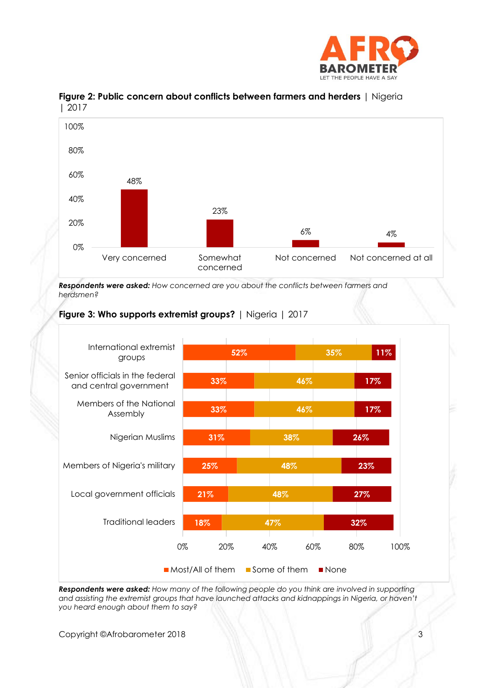



## **Figure 2: Public concern about conflicts between farmers and herders** | Nigeria | 2017

*Respondents were asked: How concerned are you about the conflicts between farmers and herdsmen?*





*Respondents were asked: How many of the following people do you think are involved in supporting*  and assisting the extremist groups that have launched attacks and kidnappings in Nigeria, or haven't *you heard enough about them to say?*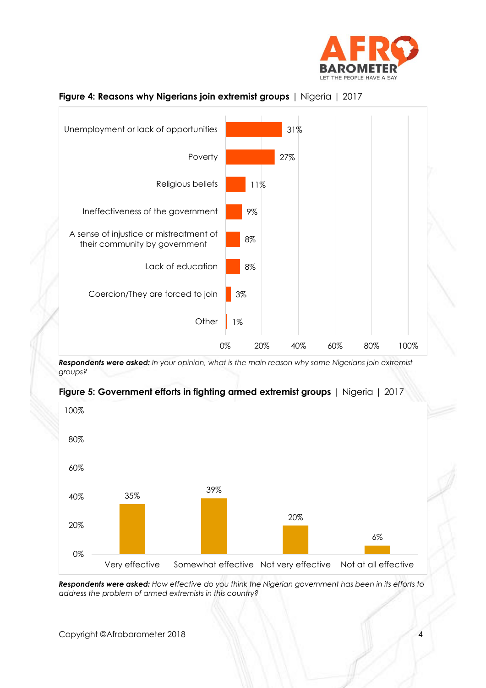



### **Figure 4: Reasons why Nigerians join extremist groups** | Nigeria | 2017

*Respondents were asked: In your opinion, what is the main reason why some Nigerians join extremist groups?*



## **Figure 5: Government efforts in fighting armed extremist groups** | Nigeria | 2017

*Respondents were asked: How effective do you think the Nigerian government has been in its efforts to address the problem of armed extremists in this country?*